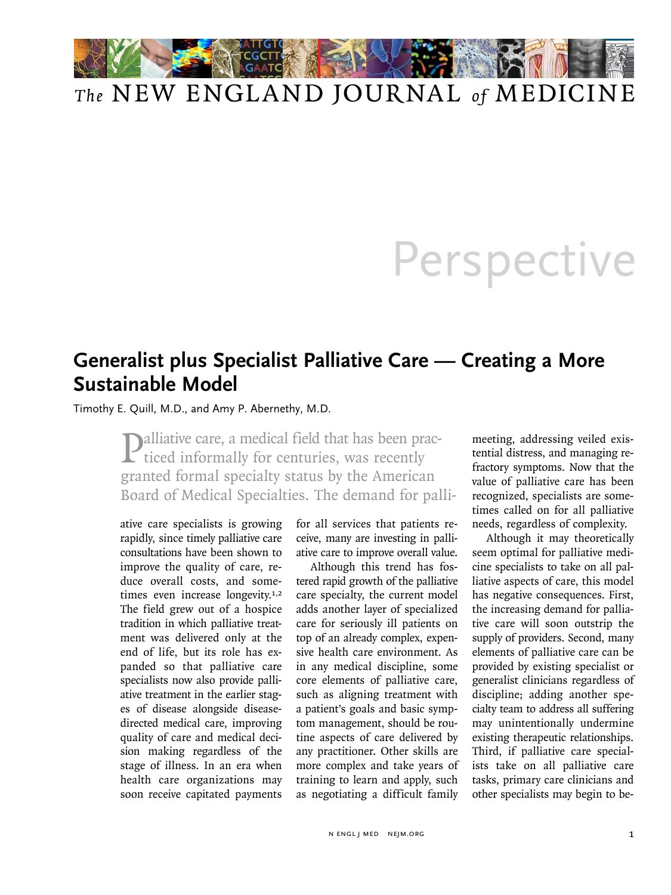

## *The* NEW ENGLAND JOURNAL *of* MEDICINE

## Perspective

## **Generalist plus Specialist Palliative Care — Creating a More Sustainable Model**

Timothy E. Quill, M.D., and Amy P. Abernethy, M.D.

Palliative care, a medical field that has been prac- $\Gamma$  ticed informally for centuries, was recently granted formal specialty status by the American Board of Medical Specialties. The demand for palli-

ative care specialists is growing rapidly, since timely palliative care consultations have been shown to improve the quality of care, reduce overall costs, and sometimes even increase longevity.<sup>1,2</sup> The field grew out of a hospice tradition in which palliative treatment was delivered only at the end of life, but its role has expanded so that palliative care specialists now also provide palliative treatment in the earlier stages of disease alongside diseasedirected medical care, improving quality of care and medical decision making regardless of the stage of illness. In an era when health care organizations may soon receive capitated payments

for all services that patients receive, many are investing in palliative care to improve overall value.

Although this trend has fostered rapid growth of the palliative care specialty, the current model adds another layer of specialized care for seriously ill patients on top of an already complex, expensive health care environment. As in any medical discipline, some core elements of palliative care, such as aligning treatment with a patient's goals and basic symptom management, should be routine aspects of care delivered by any practitioner. Other skills are more complex and take years of training to learn and apply, such as negotiating a difficult family

meeting, addressing veiled existential distress, and managing refractory symptoms. Now that the value of palliative care has been recognized, specialists are sometimes called on for all palliative needs, regardless of complexity.

Although it may theoretically seem optimal for palliative medicine specialists to take on all palliative aspects of care, this model has negative consequences. First, the increasing demand for palliative care will soon outstrip the supply of providers. Second, many elements of palliative care can be provided by existing specialist or generalist clinicians regardless of discipline; adding another specialty team to address all suffering may unintentionally undermine existing therapeutic relationships. Third, if palliative care specialists take on all palliative care tasks, primary care clinicians and other specialists may begin to be-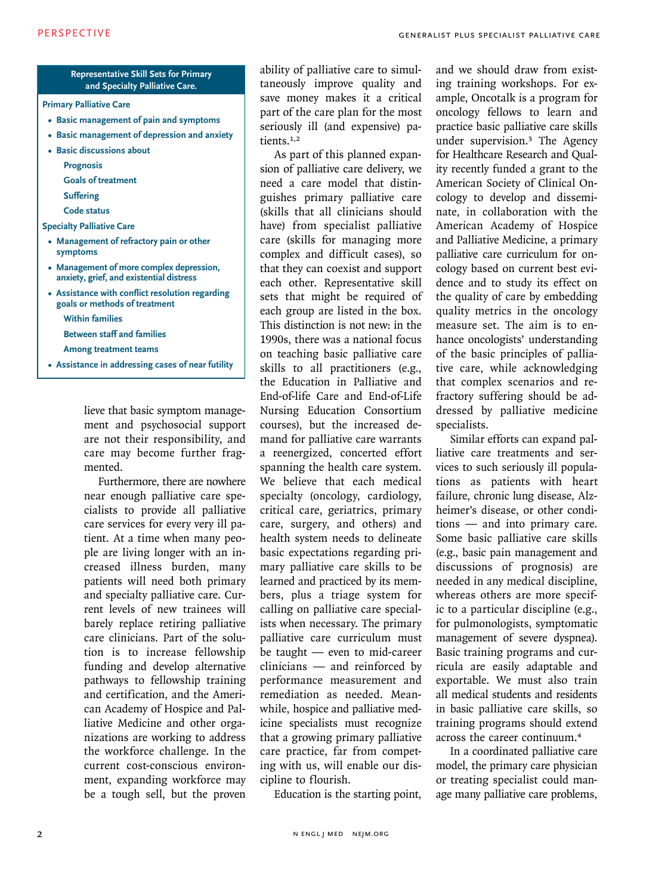## **Representative Skill Sets for Primary and Specialty Palliative Care.**

**Primary Palliative Care**

- **• Basic management of pain and symptoms**
- **• Basic management of depression and anxiety**
- **• Basic discussions about**
	- **Prognosis**
	- **Goals of treatment**
	- **Suffering**
	- **Code status**

**Specialty Palliative Care**

- **• Management of refractory pain or other symptoms**
- **• Management of more complex depression, anxiety, grief, and existential distress**
- **• Assistance with conflict resolution regarding goals or methods of treatment**

**Within families**

**Between staff and families**

**Among treatment teams**

**• Assistance in addressing cases of near futility**

lieve that basic symptom management and psychosocial support are not their responsibility, and care may become further fragmented.

Furthermore, there are nowhere near enough palliative care specialists to provide all palliative care services for every very ill patient. At a time when many people are living longer with an increased illness burden, many patients will need both primary and specialty palliative care. Current levels of new trainees will barely replace retiring palliative care clinicians. Part of the solution is to increase fellowship funding and develop alternative pathways to fellowship training and certification, and the American Academy of Hospice and Palliative Medicine and other organizations are working to address the workforce challenge. In the current cost-conscious environment, expanding workforce may be a tough sell, but the proven

ability of palliative care to simultaneously improve quality and save money makes it a critical part of the care plan for the most seriously ill (and expensive) patients.1,2

As part of this planned expansion of palliative care delivery, we need a care model that distinguishes primary palliative care (skills that all clinicians should have) from specialist palliative care (skills for managing more complex and difficult cases), so that they can coexist and support each other. Representative skill sets that might be required of each group are listed in the box. This distinction is not new: in the 1990s, there was a national focus on teaching basic palliative care skills to all practitioners (e.g., the Education in Palliative and End-of-life Care and End-of-Life Nursing Education Consortium courses), but the increased demand for palliative care warrants a reenergized, concerted effort spanning the health care system. We believe that each medical specialty (oncology, cardiology, critical care, geriatrics, primary care, surgery, and others) and health system needs to delineate basic expectations regarding primary palliative care skills to be learned and practiced by its members, plus a triage system for calling on palliative care specialists when necessary. The primary palliative care curriculum must be taught — even to mid-career clinicians — and reinforced by performance measurement and remediation as needed. Meanwhile, hospice and palliative medicine specialists must recognize that a growing primary palliative care practice, far from competing with us, will enable our discipline to flourish.

Education is the starting point,

and we should draw from existing training workshops. For example, Oncotalk is a program for oncology fellows to learn and practice basic palliative care skills under supervision.3 The Agency for Healthcare Research and Quality recently funded a grant to the American Society of Clinical Oncology to develop and disseminate, in collaboration with the American Academy of Hospice and Palliative Medicine, a primary palliative care curriculum for oncology based on current best evidence and to study its effect on the quality of care by embedding quality metrics in the oncology measure set. The aim is to enhance oncologists' understanding of the basic principles of palliative care, while acknowledging that complex scenarios and refractory suffering should be addressed by palliative medicine specialists.

Similar efforts can expand palliative care treatments and services to such seriously ill populations as patients with heart failure, chronic lung disease, Alzheimer's disease, or other conditions — and into primary care. Some basic palliative care skills (e.g., basic pain management and discussions of prognosis) are needed in any medical discipline, whereas others are more specific to a particular discipline (e.g., for pulmonologists, symptomatic management of severe dyspnea). Basic training programs and curricula are easily adaptable and exportable. We must also train all medical students and residents in basic palliative care skills, so training programs should extend across the career continuum.<sup>4</sup>

In a coordinated palliative care model, the primary care physician or treating specialist could manage many palliative care problems,